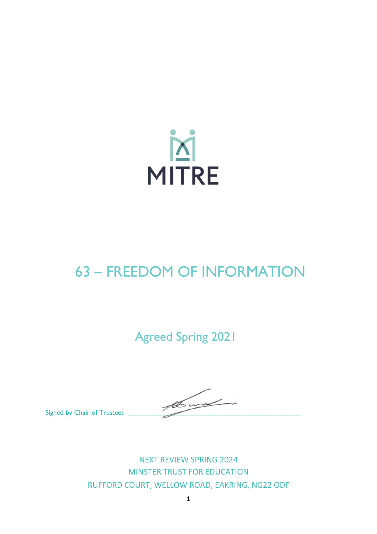

# 63 – FREEDOM OF INFORMATION

Agreed Spring 2021

Signed by Chair of Trustees

NEXT REVIEW SPRING 2024 MINSTER TRUST FOR EDUCATION RUFFORD COURT, WELLOW ROAD, EAKRING, NG22 ODF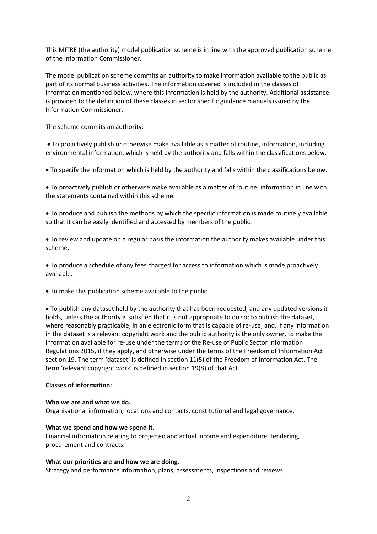This MITRE (the authority) model publication scheme is in line with the approved publication scheme of the Information Commissioner.

The model publication scheme commits an authority to make information available to the public as part of its normal business activities. The information covered is included in the classes of information mentioned below, where this information is held by the authority. Additional assistance is provided to the definition of these classes in sector specific guidance manuals issued by the Information Commissioner.

The scheme commits an authority:

• To proactively publish or otherwise make available as a matter of routine, information, including environmental information, which is held by the authority and falls within the classifications below.

• To specify the information which is held by the authority and falls within the classifications below.

• To proactively publish or otherwise make available as a matter of routine, information in line with the statements contained within this scheme.

• To produce and publish the methods by which the specific information is made routinely available so that it can be easily identified and accessed by members of the public.

• To review and update on a regular basis the information the authority makes available under this scheme.

• To produce a schedule of any fees charged for access to information which is made proactively available.

• To make this publication scheme available to the public.

• To publish any dataset held by the authority that has been requested, and any updated versions it holds, unless the authority is satisfied that it is not appropriate to do so; to publish the dataset, where reasonably practicable, in an electronic form that is capable of re-use; and, if any information in the dataset is a relevant copyright work and the public authority is the only owner, to make the information available for re-use under the terms of the Re-use of Public Sector Information Regulations 2015, if they apply, and otherwise under the terms of the Freedom of Information Act section 19. The term 'dataset' is defined in section 11(5) of the Freedom of Information Act. The term 'relevant copyright work' is defined in section 19(8) of that Act.

# **Classes of information:**

# **Who we are and what we do.**

Organisational information, locations and contacts, constitutional and legal governance.

# **What we spend and how we spend it.**

Financial information relating to projected and actual income and expenditure, tendering, procurement and contracts.

# **What our priorities are and how we are doing.**

Strategy and performance information, plans, assessments, inspections and reviews.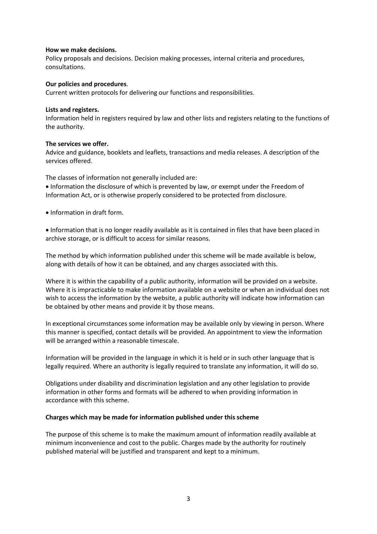#### **How we make decisions.**

Policy proposals and decisions. Decision making processes, internal criteria and procedures, consultations.

# **Our policies and procedures**.

Current written protocols for delivering our functions and responsibilities.

#### **Lists and registers.**

Information held in registers required by law and other lists and registers relating to the functions of the authority.

# **The services we offer.**

Advice and guidance, booklets and leaflets, transactions and media releases. A description of the services offered.

The classes of information not generally included are: • Information the disclosure of which is prevented by law, or exempt under the Freedom of Information Act, or is otherwise properly considered to be protected from disclosure.

• Information in draft form.

• Information that is no longer readily available as it is contained in files that have been placed in archive storage, or is difficult to access for similar reasons.

The method by which information published under this scheme will be made available is below, along with details of how it can be obtained, and any charges associated with this.

Where it is within the capability of a public authority, information will be provided on a website. Where it is impracticable to make information available on a website or when an individual does not wish to access the information by the website, a public authority will indicate how information can be obtained by other means and provide it by those means.

In exceptional circumstances some information may be available only by viewing in person. Where this manner is specified, contact details will be provided. An appointment to view the information will be arranged within a reasonable timescale.

Information will be provided in the language in which it is held or in such other language that is legally required. Where an authority is legally required to translate any information, it will do so.

Obligations under disability and discrimination legislation and any other legislation to provide information in other forms and formats will be adhered to when providing information in accordance with this scheme.

# **Charges which may be made for information published under this scheme**

The purpose of this scheme is to make the maximum amount of information readily available at minimum inconvenience and cost to the public. Charges made by the authority for routinely published material will be justified and transparent and kept to a minimum.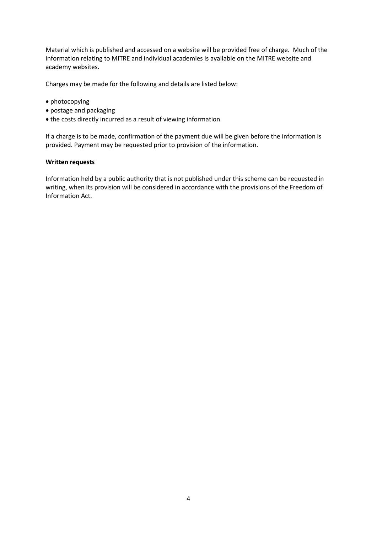Material which is published and accessed on a website will be provided free of charge. Much of the information relating to MITRE and individual academies is available on the MITRE website and academy websites.

Charges may be made for the following and details are listed below:

- photocopying
- postage and packaging
- the costs directly incurred as a result of viewing information

If a charge is to be made, confirmation of the payment due will be given before the information is provided. Payment may be requested prior to provision of the information.

# **Written requests**

Information held by a public authority that is not published under this scheme can be requested in writing, when its provision will be considered in accordance with the provisions of the Freedom of Information Act.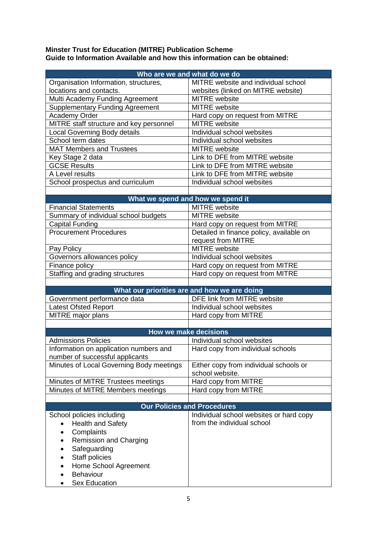# **Minster Trust for Education (MITRE) Publication Scheme Guide to Information Available and how this information can be obtained:**

| MITRE website and individual school<br>Organisation Information, structures,<br>locations and contacts.<br>websites (linked on MITRE website)<br>Multi Academy Funding Agreement<br><b>MITRE</b> website<br><b>Supplementary Funding Agreement</b><br><b>MITRE</b> website<br>Academy Order<br>Hard copy on request from MITRE<br>MITRE staff structure and key personnel<br><b>MITRE</b> website<br>Individual school websites<br>Local Governing Body details<br>School term dates<br>Individual school websites<br><b>MAT Members and Trustees</b><br>MITRE website<br>Link to DFE from MITRE website<br>Key Stage 2 data<br><b>GCSE Results</b><br>Link to DFE from MITRE website<br>A Level results<br>Link to DFE from MITRE website<br>Individual school websites<br>School prospectus and curriculum<br>What we spend and how we spend it<br><b>MITRE</b> website<br><b>Financial Statements</b><br><b>MITRE</b> website<br>Summary of individual school budgets<br>Capital Funding<br>Hard copy on request from MITRE<br><b>Procurement Procedures</b><br>Detailed in finance policy, available on<br>request from MITRE<br><b>MITRE</b> website<br>Pay Policy<br>Governors allowances policy<br>Individual school websites<br>Finance policy<br>Hard copy on request from MITRE<br>Staffing and grading structures<br>Hard copy on request from MITRE<br>What our priorities are and how we are doing<br>Government performance data<br>DFE link from MITRE website<br>Individual school websites<br>Latest Ofsted Report<br>MITRE major plans<br>Hard copy from MITRE<br><b>How we make decisions</b><br><b>Admissions Policies</b><br>Individual school websites<br>Information on application numbers and<br>Hard copy from individual schools<br>number of successful applicants<br>Minutes of Local Governing Body meetings<br>Either copy from individual schools or<br>school website.<br>Hard copy from MITRE<br>Minutes of MITRE Trustees meetings<br>Minutes of MITRE Members meetings<br>Hard copy from MITRE<br><b>Our Policies and Procedures</b><br>Individual school websites or hard copy<br>School policies including<br>from the individual school<br><b>Health and Safety</b><br>Complaints<br><b>Remission and Charging</b><br>Safeguarding<br>Staff policies<br>Home School Agreement<br>Behaviour | Who are we and what do we do |  |
|-----------------------------------------------------------------------------------------------------------------------------------------------------------------------------------------------------------------------------------------------------------------------------------------------------------------------------------------------------------------------------------------------------------------------------------------------------------------------------------------------------------------------------------------------------------------------------------------------------------------------------------------------------------------------------------------------------------------------------------------------------------------------------------------------------------------------------------------------------------------------------------------------------------------------------------------------------------------------------------------------------------------------------------------------------------------------------------------------------------------------------------------------------------------------------------------------------------------------------------------------------------------------------------------------------------------------------------------------------------------------------------------------------------------------------------------------------------------------------------------------------------------------------------------------------------------------------------------------------------------------------------------------------------------------------------------------------------------------------------------------------------------------------------------------------------------------------------------------------------------------------------------------------------------------------------------------------------------------------------------------------------------------------------------------------------------------------------------------------------------------------------------------------------------------------------------------------------------------------------------------------------------------------------------------------------------------------------|------------------------------|--|
|                                                                                                                                                                                                                                                                                                                                                                                                                                                                                                                                                                                                                                                                                                                                                                                                                                                                                                                                                                                                                                                                                                                                                                                                                                                                                                                                                                                                                                                                                                                                                                                                                                                                                                                                                                                                                                                                                                                                                                                                                                                                                                                                                                                                                                                                                                                                   |                              |  |
|                                                                                                                                                                                                                                                                                                                                                                                                                                                                                                                                                                                                                                                                                                                                                                                                                                                                                                                                                                                                                                                                                                                                                                                                                                                                                                                                                                                                                                                                                                                                                                                                                                                                                                                                                                                                                                                                                                                                                                                                                                                                                                                                                                                                                                                                                                                                   |                              |  |
|                                                                                                                                                                                                                                                                                                                                                                                                                                                                                                                                                                                                                                                                                                                                                                                                                                                                                                                                                                                                                                                                                                                                                                                                                                                                                                                                                                                                                                                                                                                                                                                                                                                                                                                                                                                                                                                                                                                                                                                                                                                                                                                                                                                                                                                                                                                                   |                              |  |
|                                                                                                                                                                                                                                                                                                                                                                                                                                                                                                                                                                                                                                                                                                                                                                                                                                                                                                                                                                                                                                                                                                                                                                                                                                                                                                                                                                                                                                                                                                                                                                                                                                                                                                                                                                                                                                                                                                                                                                                                                                                                                                                                                                                                                                                                                                                                   |                              |  |
|                                                                                                                                                                                                                                                                                                                                                                                                                                                                                                                                                                                                                                                                                                                                                                                                                                                                                                                                                                                                                                                                                                                                                                                                                                                                                                                                                                                                                                                                                                                                                                                                                                                                                                                                                                                                                                                                                                                                                                                                                                                                                                                                                                                                                                                                                                                                   |                              |  |
|                                                                                                                                                                                                                                                                                                                                                                                                                                                                                                                                                                                                                                                                                                                                                                                                                                                                                                                                                                                                                                                                                                                                                                                                                                                                                                                                                                                                                                                                                                                                                                                                                                                                                                                                                                                                                                                                                                                                                                                                                                                                                                                                                                                                                                                                                                                                   |                              |  |
|                                                                                                                                                                                                                                                                                                                                                                                                                                                                                                                                                                                                                                                                                                                                                                                                                                                                                                                                                                                                                                                                                                                                                                                                                                                                                                                                                                                                                                                                                                                                                                                                                                                                                                                                                                                                                                                                                                                                                                                                                                                                                                                                                                                                                                                                                                                                   |                              |  |
|                                                                                                                                                                                                                                                                                                                                                                                                                                                                                                                                                                                                                                                                                                                                                                                                                                                                                                                                                                                                                                                                                                                                                                                                                                                                                                                                                                                                                                                                                                                                                                                                                                                                                                                                                                                                                                                                                                                                                                                                                                                                                                                                                                                                                                                                                                                                   |                              |  |
|                                                                                                                                                                                                                                                                                                                                                                                                                                                                                                                                                                                                                                                                                                                                                                                                                                                                                                                                                                                                                                                                                                                                                                                                                                                                                                                                                                                                                                                                                                                                                                                                                                                                                                                                                                                                                                                                                                                                                                                                                                                                                                                                                                                                                                                                                                                                   |                              |  |
|                                                                                                                                                                                                                                                                                                                                                                                                                                                                                                                                                                                                                                                                                                                                                                                                                                                                                                                                                                                                                                                                                                                                                                                                                                                                                                                                                                                                                                                                                                                                                                                                                                                                                                                                                                                                                                                                                                                                                                                                                                                                                                                                                                                                                                                                                                                                   |                              |  |
|                                                                                                                                                                                                                                                                                                                                                                                                                                                                                                                                                                                                                                                                                                                                                                                                                                                                                                                                                                                                                                                                                                                                                                                                                                                                                                                                                                                                                                                                                                                                                                                                                                                                                                                                                                                                                                                                                                                                                                                                                                                                                                                                                                                                                                                                                                                                   |                              |  |
|                                                                                                                                                                                                                                                                                                                                                                                                                                                                                                                                                                                                                                                                                                                                                                                                                                                                                                                                                                                                                                                                                                                                                                                                                                                                                                                                                                                                                                                                                                                                                                                                                                                                                                                                                                                                                                                                                                                                                                                                                                                                                                                                                                                                                                                                                                                                   |                              |  |
|                                                                                                                                                                                                                                                                                                                                                                                                                                                                                                                                                                                                                                                                                                                                                                                                                                                                                                                                                                                                                                                                                                                                                                                                                                                                                                                                                                                                                                                                                                                                                                                                                                                                                                                                                                                                                                                                                                                                                                                                                                                                                                                                                                                                                                                                                                                                   |                              |  |
|                                                                                                                                                                                                                                                                                                                                                                                                                                                                                                                                                                                                                                                                                                                                                                                                                                                                                                                                                                                                                                                                                                                                                                                                                                                                                                                                                                                                                                                                                                                                                                                                                                                                                                                                                                                                                                                                                                                                                                                                                                                                                                                                                                                                                                                                                                                                   |                              |  |
|                                                                                                                                                                                                                                                                                                                                                                                                                                                                                                                                                                                                                                                                                                                                                                                                                                                                                                                                                                                                                                                                                                                                                                                                                                                                                                                                                                                                                                                                                                                                                                                                                                                                                                                                                                                                                                                                                                                                                                                                                                                                                                                                                                                                                                                                                                                                   |                              |  |
|                                                                                                                                                                                                                                                                                                                                                                                                                                                                                                                                                                                                                                                                                                                                                                                                                                                                                                                                                                                                                                                                                                                                                                                                                                                                                                                                                                                                                                                                                                                                                                                                                                                                                                                                                                                                                                                                                                                                                                                                                                                                                                                                                                                                                                                                                                                                   |                              |  |
|                                                                                                                                                                                                                                                                                                                                                                                                                                                                                                                                                                                                                                                                                                                                                                                                                                                                                                                                                                                                                                                                                                                                                                                                                                                                                                                                                                                                                                                                                                                                                                                                                                                                                                                                                                                                                                                                                                                                                                                                                                                                                                                                                                                                                                                                                                                                   |                              |  |
|                                                                                                                                                                                                                                                                                                                                                                                                                                                                                                                                                                                                                                                                                                                                                                                                                                                                                                                                                                                                                                                                                                                                                                                                                                                                                                                                                                                                                                                                                                                                                                                                                                                                                                                                                                                                                                                                                                                                                                                                                                                                                                                                                                                                                                                                                                                                   |                              |  |
|                                                                                                                                                                                                                                                                                                                                                                                                                                                                                                                                                                                                                                                                                                                                                                                                                                                                                                                                                                                                                                                                                                                                                                                                                                                                                                                                                                                                                                                                                                                                                                                                                                                                                                                                                                                                                                                                                                                                                                                                                                                                                                                                                                                                                                                                                                                                   |                              |  |
|                                                                                                                                                                                                                                                                                                                                                                                                                                                                                                                                                                                                                                                                                                                                                                                                                                                                                                                                                                                                                                                                                                                                                                                                                                                                                                                                                                                                                                                                                                                                                                                                                                                                                                                                                                                                                                                                                                                                                                                                                                                                                                                                                                                                                                                                                                                                   |                              |  |
|                                                                                                                                                                                                                                                                                                                                                                                                                                                                                                                                                                                                                                                                                                                                                                                                                                                                                                                                                                                                                                                                                                                                                                                                                                                                                                                                                                                                                                                                                                                                                                                                                                                                                                                                                                                                                                                                                                                                                                                                                                                                                                                                                                                                                                                                                                                                   |                              |  |
|                                                                                                                                                                                                                                                                                                                                                                                                                                                                                                                                                                                                                                                                                                                                                                                                                                                                                                                                                                                                                                                                                                                                                                                                                                                                                                                                                                                                                                                                                                                                                                                                                                                                                                                                                                                                                                                                                                                                                                                                                                                                                                                                                                                                                                                                                                                                   |                              |  |
|                                                                                                                                                                                                                                                                                                                                                                                                                                                                                                                                                                                                                                                                                                                                                                                                                                                                                                                                                                                                                                                                                                                                                                                                                                                                                                                                                                                                                                                                                                                                                                                                                                                                                                                                                                                                                                                                                                                                                                                                                                                                                                                                                                                                                                                                                                                                   |                              |  |
|                                                                                                                                                                                                                                                                                                                                                                                                                                                                                                                                                                                                                                                                                                                                                                                                                                                                                                                                                                                                                                                                                                                                                                                                                                                                                                                                                                                                                                                                                                                                                                                                                                                                                                                                                                                                                                                                                                                                                                                                                                                                                                                                                                                                                                                                                                                                   |                              |  |
|                                                                                                                                                                                                                                                                                                                                                                                                                                                                                                                                                                                                                                                                                                                                                                                                                                                                                                                                                                                                                                                                                                                                                                                                                                                                                                                                                                                                                                                                                                                                                                                                                                                                                                                                                                                                                                                                                                                                                                                                                                                                                                                                                                                                                                                                                                                                   |                              |  |
|                                                                                                                                                                                                                                                                                                                                                                                                                                                                                                                                                                                                                                                                                                                                                                                                                                                                                                                                                                                                                                                                                                                                                                                                                                                                                                                                                                                                                                                                                                                                                                                                                                                                                                                                                                                                                                                                                                                                                                                                                                                                                                                                                                                                                                                                                                                                   |                              |  |
|                                                                                                                                                                                                                                                                                                                                                                                                                                                                                                                                                                                                                                                                                                                                                                                                                                                                                                                                                                                                                                                                                                                                                                                                                                                                                                                                                                                                                                                                                                                                                                                                                                                                                                                                                                                                                                                                                                                                                                                                                                                                                                                                                                                                                                                                                                                                   |                              |  |
|                                                                                                                                                                                                                                                                                                                                                                                                                                                                                                                                                                                                                                                                                                                                                                                                                                                                                                                                                                                                                                                                                                                                                                                                                                                                                                                                                                                                                                                                                                                                                                                                                                                                                                                                                                                                                                                                                                                                                                                                                                                                                                                                                                                                                                                                                                                                   |                              |  |
|                                                                                                                                                                                                                                                                                                                                                                                                                                                                                                                                                                                                                                                                                                                                                                                                                                                                                                                                                                                                                                                                                                                                                                                                                                                                                                                                                                                                                                                                                                                                                                                                                                                                                                                                                                                                                                                                                                                                                                                                                                                                                                                                                                                                                                                                                                                                   |                              |  |
|                                                                                                                                                                                                                                                                                                                                                                                                                                                                                                                                                                                                                                                                                                                                                                                                                                                                                                                                                                                                                                                                                                                                                                                                                                                                                                                                                                                                                                                                                                                                                                                                                                                                                                                                                                                                                                                                                                                                                                                                                                                                                                                                                                                                                                                                                                                                   |                              |  |
|                                                                                                                                                                                                                                                                                                                                                                                                                                                                                                                                                                                                                                                                                                                                                                                                                                                                                                                                                                                                                                                                                                                                                                                                                                                                                                                                                                                                                                                                                                                                                                                                                                                                                                                                                                                                                                                                                                                                                                                                                                                                                                                                                                                                                                                                                                                                   |                              |  |
|                                                                                                                                                                                                                                                                                                                                                                                                                                                                                                                                                                                                                                                                                                                                                                                                                                                                                                                                                                                                                                                                                                                                                                                                                                                                                                                                                                                                                                                                                                                                                                                                                                                                                                                                                                                                                                                                                                                                                                                                                                                                                                                                                                                                                                                                                                                                   |                              |  |
|                                                                                                                                                                                                                                                                                                                                                                                                                                                                                                                                                                                                                                                                                                                                                                                                                                                                                                                                                                                                                                                                                                                                                                                                                                                                                                                                                                                                                                                                                                                                                                                                                                                                                                                                                                                                                                                                                                                                                                                                                                                                                                                                                                                                                                                                                                                                   |                              |  |
|                                                                                                                                                                                                                                                                                                                                                                                                                                                                                                                                                                                                                                                                                                                                                                                                                                                                                                                                                                                                                                                                                                                                                                                                                                                                                                                                                                                                                                                                                                                                                                                                                                                                                                                                                                                                                                                                                                                                                                                                                                                                                                                                                                                                                                                                                                                                   |                              |  |
|                                                                                                                                                                                                                                                                                                                                                                                                                                                                                                                                                                                                                                                                                                                                                                                                                                                                                                                                                                                                                                                                                                                                                                                                                                                                                                                                                                                                                                                                                                                                                                                                                                                                                                                                                                                                                                                                                                                                                                                                                                                                                                                                                                                                                                                                                                                                   |                              |  |
|                                                                                                                                                                                                                                                                                                                                                                                                                                                                                                                                                                                                                                                                                                                                                                                                                                                                                                                                                                                                                                                                                                                                                                                                                                                                                                                                                                                                                                                                                                                                                                                                                                                                                                                                                                                                                                                                                                                                                                                                                                                                                                                                                                                                                                                                                                                                   |                              |  |
|                                                                                                                                                                                                                                                                                                                                                                                                                                                                                                                                                                                                                                                                                                                                                                                                                                                                                                                                                                                                                                                                                                                                                                                                                                                                                                                                                                                                                                                                                                                                                                                                                                                                                                                                                                                                                                                                                                                                                                                                                                                                                                                                                                                                                                                                                                                                   |                              |  |
|                                                                                                                                                                                                                                                                                                                                                                                                                                                                                                                                                                                                                                                                                                                                                                                                                                                                                                                                                                                                                                                                                                                                                                                                                                                                                                                                                                                                                                                                                                                                                                                                                                                                                                                                                                                                                                                                                                                                                                                                                                                                                                                                                                                                                                                                                                                                   |                              |  |
|                                                                                                                                                                                                                                                                                                                                                                                                                                                                                                                                                                                                                                                                                                                                                                                                                                                                                                                                                                                                                                                                                                                                                                                                                                                                                                                                                                                                                                                                                                                                                                                                                                                                                                                                                                                                                                                                                                                                                                                                                                                                                                                                                                                                                                                                                                                                   |                              |  |
|                                                                                                                                                                                                                                                                                                                                                                                                                                                                                                                                                                                                                                                                                                                                                                                                                                                                                                                                                                                                                                                                                                                                                                                                                                                                                                                                                                                                                                                                                                                                                                                                                                                                                                                                                                                                                                                                                                                                                                                                                                                                                                                                                                                                                                                                                                                                   |                              |  |
|                                                                                                                                                                                                                                                                                                                                                                                                                                                                                                                                                                                                                                                                                                                                                                                                                                                                                                                                                                                                                                                                                                                                                                                                                                                                                                                                                                                                                                                                                                                                                                                                                                                                                                                                                                                                                                                                                                                                                                                                                                                                                                                                                                                                                                                                                                                                   |                              |  |
|                                                                                                                                                                                                                                                                                                                                                                                                                                                                                                                                                                                                                                                                                                                                                                                                                                                                                                                                                                                                                                                                                                                                                                                                                                                                                                                                                                                                                                                                                                                                                                                                                                                                                                                                                                                                                                                                                                                                                                                                                                                                                                                                                                                                                                                                                                                                   |                              |  |
|                                                                                                                                                                                                                                                                                                                                                                                                                                                                                                                                                                                                                                                                                                                                                                                                                                                                                                                                                                                                                                                                                                                                                                                                                                                                                                                                                                                                                                                                                                                                                                                                                                                                                                                                                                                                                                                                                                                                                                                                                                                                                                                                                                                                                                                                                                                                   |                              |  |
|                                                                                                                                                                                                                                                                                                                                                                                                                                                                                                                                                                                                                                                                                                                                                                                                                                                                                                                                                                                                                                                                                                                                                                                                                                                                                                                                                                                                                                                                                                                                                                                                                                                                                                                                                                                                                                                                                                                                                                                                                                                                                                                                                                                                                                                                                                                                   |                              |  |
|                                                                                                                                                                                                                                                                                                                                                                                                                                                                                                                                                                                                                                                                                                                                                                                                                                                                                                                                                                                                                                                                                                                                                                                                                                                                                                                                                                                                                                                                                                                                                                                                                                                                                                                                                                                                                                                                                                                                                                                                                                                                                                                                                                                                                                                                                                                                   |                              |  |
|                                                                                                                                                                                                                                                                                                                                                                                                                                                                                                                                                                                                                                                                                                                                                                                                                                                                                                                                                                                                                                                                                                                                                                                                                                                                                                                                                                                                                                                                                                                                                                                                                                                                                                                                                                                                                                                                                                                                                                                                                                                                                                                                                                                                                                                                                                                                   |                              |  |
|                                                                                                                                                                                                                                                                                                                                                                                                                                                                                                                                                                                                                                                                                                                                                                                                                                                                                                                                                                                                                                                                                                                                                                                                                                                                                                                                                                                                                                                                                                                                                                                                                                                                                                                                                                                                                                                                                                                                                                                                                                                                                                                                                                                                                                                                                                                                   |                              |  |
| <b>Sex Education</b>                                                                                                                                                                                                                                                                                                                                                                                                                                                                                                                                                                                                                                                                                                                                                                                                                                                                                                                                                                                                                                                                                                                                                                                                                                                                                                                                                                                                                                                                                                                                                                                                                                                                                                                                                                                                                                                                                                                                                                                                                                                                                                                                                                                                                                                                                                              |                              |  |